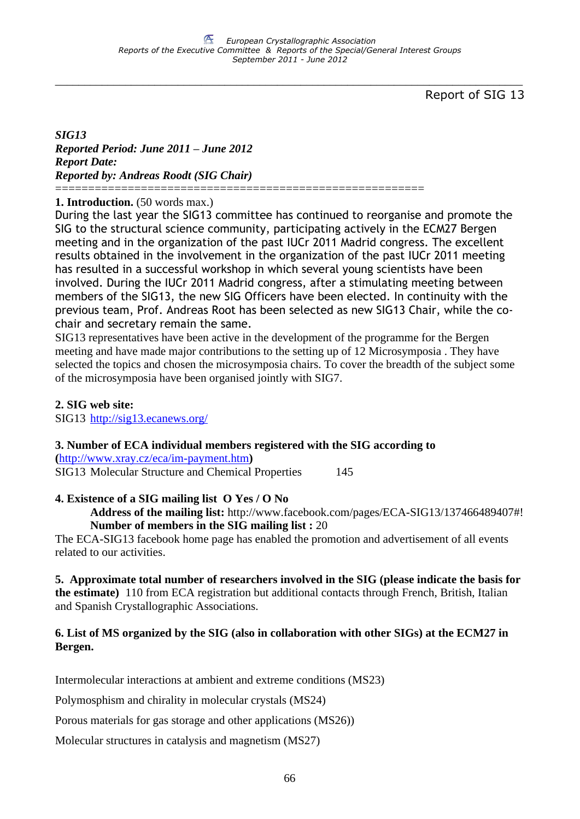Report of SIG 13

*SIG13 Reported Period: June 2011 – June 2012 Report Date: Reported by: Andreas Roodt (SIG Chair)*

#### ======================================================== **1. Introduction.** (50 words max.)

During the last year the SIG13 committee has continued to reorganise and promote the SIG to the structural science community, participating actively in the ECM27 Bergen meeting and in the organization of the past IUCr 2011 Madrid congress. The excellent results obtained in the involvement in the organization of the past IUCr 2011 meeting has resulted in a successful workshop in which several young scientists have been involved. During the IUCr 2011 Madrid congress, after a stimulating meeting between members of the SIG13, the new SIG Officers have been elected. In continuity with the previous team, Prof. Andreas Root has been selected as new SIG13 Chair, while the cochair and secretary remain the same.

SIG13 representatives have been active in the development of the programme for the Bergen meeting and have made major contributions to the setting up of 12 Microsymposia . They have selected the topics and chosen the microsymposia chairs. To cover the breadth of the subject some of the microsymposia have been organised jointly with SIG7.

## **2. SIG web site:**

SIG13 <http://sig13.ecanews.org/>

## **3. Number of ECA individual members registered with the SIG according to**

**(**<http://www.xray.cz/eca/im-payment.htm>**)** SIG13 Molecular Structure and Chemical Properties 145

## **4. Existence of a SIG mailing list O Yes / O No**

**Address of the mailing list:** http://www.facebook.com/pages/ECA-SIG13/137466489407#! **Number of members in the SIG mailing list :** 20

The ECA-SIG13 facebook home page has enabled the promotion and advertisement of all events related to our activities.

**5. Approximate total number of researchers involved in the SIG (please indicate the basis for the estimate)** 110 from ECA registration but additional contacts through French, British, Italian and Spanish Crystallographic Associations.

## **6. List of MS organized by the SIG (also in collaboration with other SIGs) at the ECM27 in Bergen.**

Intermolecular interactions at ambient and extreme conditions (MS23)

Polymosphism and chirality in molecular crystals (MS24)

Porous materials for gas storage and other applications (MS26))

Molecular structures in catalysis and magnetism (MS27)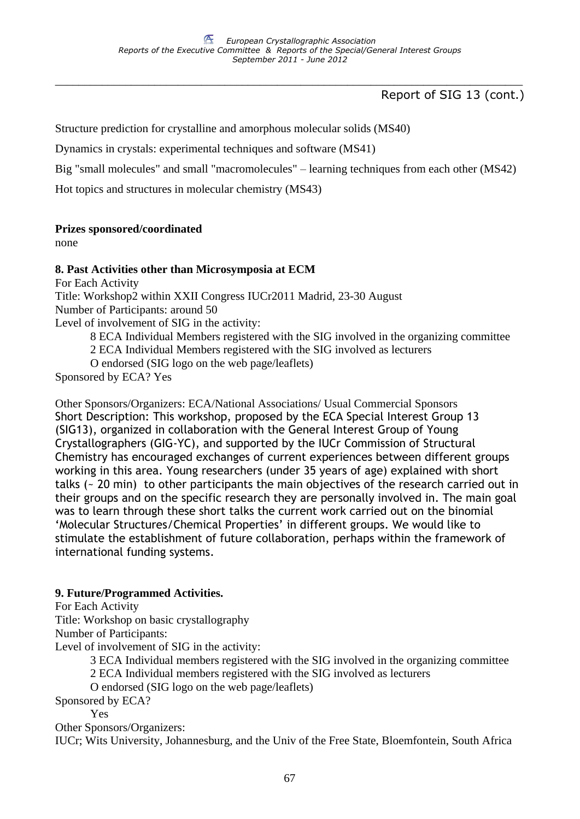Report of SIG 13 (cont.)

Structure prediction for crystalline and amorphous molecular solids (MS40)

Dynamics in crystals: experimental techniques and software (MS41)

Big "small molecules" and small "macromolecules" – learning techniques from each other (MS42)

Hot topics and structures in molecular chemistry (MS43)

## **Prizes sponsored/coordinated**

none

## **8. Past Activities other than Microsymposia at ECM**

For Each Activity Title: Workshop2 within XXII Congress IUCr2011 Madrid, 23-30 August Number of Participants: around 50 Level of involvement of SIG in the activity:

8 ECA Individual Members registered with the SIG involved in the organizing committee

2 ECA Individual Members registered with the SIG involved as lecturers

O endorsed (SIG logo on the web page/leaflets)

Sponsored by ECA? Yes

Other Sponsors/Organizers: ECA/National Associations/ Usual Commercial Sponsors Short Description: This workshop, proposed by the ECA Special Interest Group 13 (SIG13), organized in collaboration with the General Interest Group of Young Crystallographers (GIG-YC), and supported by the IUCr Commission of Structural Chemistry has encouraged exchanges of current experiences between different groups working in this area. Young researchers (under 35 years of age) explained with short talks (~ 20 min) to other participants the main objectives of the research carried out in their groups and on the specific research they are personally involved in. The main goal was to learn through these short talks the current work carried out on the binomial 'Molecular Structures/Chemical Properties' in different groups. We would like to stimulate the establishment of future collaboration, perhaps within the framework of international funding systems.

## **9. Future/Programmed Activities.**

For Each Activity

Title: Workshop on basic crystallography

Number of Participants:

Level of involvement of SIG in the activity:

3 ECA Individual members registered with the SIG involved in the organizing committee

2 ECA Individual members registered with the SIG involved as lecturers

O endorsed (SIG logo on the web page/leaflets)

Sponsored by ECA?

Yes

Other Sponsors/Organizers:

IUCr; Wits University, Johannesburg, and the Univ of the Free State, Bloemfontein, South Africa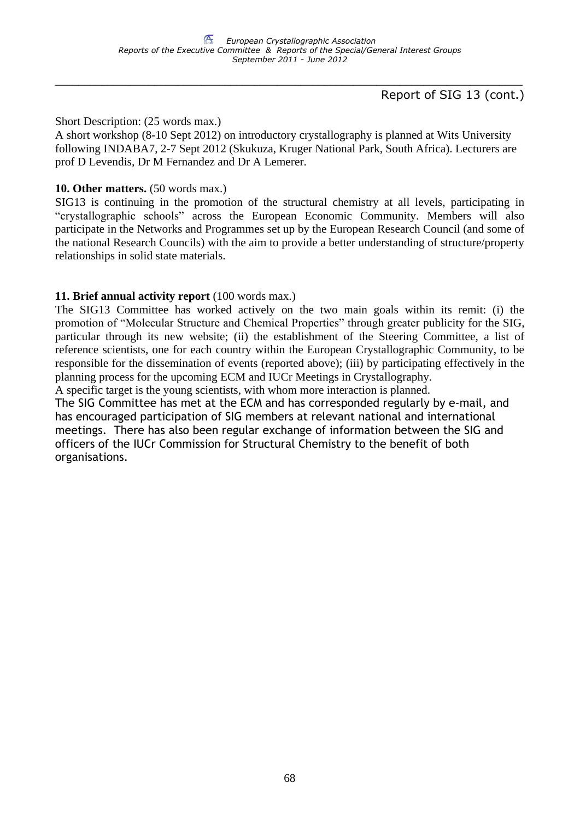## Report of SIG 13 (cont.)

Short Description: (25 words max.)

A short workshop (8-10 Sept 2012) on introductory crystallography is planned at Wits University following INDABA7, 2-7 Sept 2012 (Skukuza, Kruger National Park, South Africa). Lecturers are prof D Levendis, Dr M Fernandez and Dr A Lemerer.

## **10. Other matters.** (50 words max.)

SIG13 is continuing in the promotion of the structural chemistry at all levels, participating in "crystallographic schools" across the European Economic Community. Members will also participate in the Networks and Programmes set up by the European Research Council (and some of the national Research Councils) with the aim to provide a better understanding of structure/property relationships in solid state materials.

## **11. Brief annual activity report** (100 words max.)

The SIG13 Committee has worked actively on the two main goals within its remit: (i) the promotion of "Molecular Structure and Chemical Properties" through greater publicity for the SIG, particular through its new website; (ii) the establishment of the Steering Committee, a list of reference scientists, one for each country within the European Crystallographic Community, to be responsible for the dissemination of events (reported above); (iii) by participating effectively in the planning process for the upcoming ECM and IUCr Meetings in Crystallography.

A specific target is the young scientists, with whom more interaction is planned.

The SIG Committee has met at the ECM and has corresponded regularly by e-mail, and has encouraged participation of SIG members at relevant national and international meetings. There has also been regular exchange of information between the SIG and officers of the IUCr Commission for Structural Chemistry to the benefit of both organisations.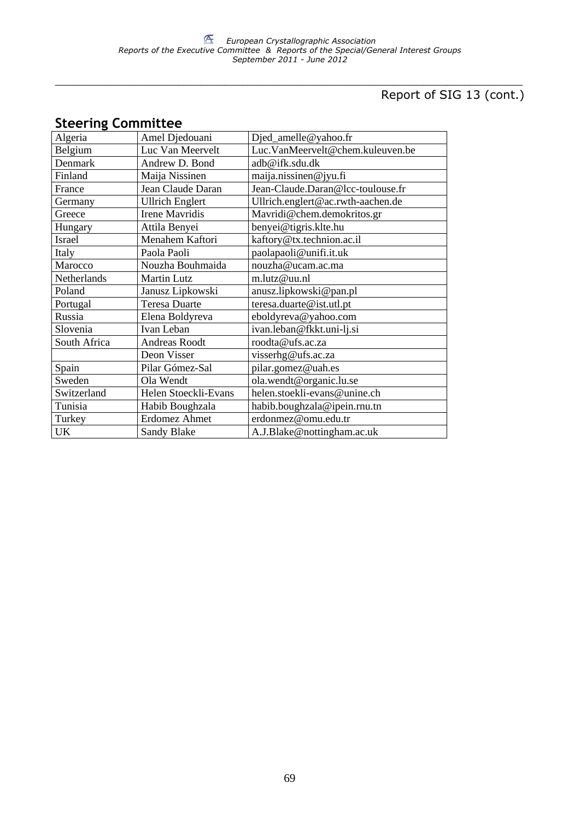# Report of SIG 13 (cont.)

## **Steering Committee**

| Algeria      | Amel Djedouani         | Djed_amelle@yahoo.fr              |
|--------------|------------------------|-----------------------------------|
| Belgium      | Luc Van Meervelt       | Luc.VanMeervelt@chem.kuleuven.be  |
| Denmark      | Andrew D. Bond         | adb@ifk.sdu.dk                    |
| Finland      | Maija Nissinen         | maija.nissinen@jyu.fi             |
| France       | Jean Claude Daran      | Jean-Claude.Daran@lcc-toulouse.fr |
| Germany      | <b>Ullrich Englert</b> | Ullrich.englert@ac.rwth-aachen.de |
| Greece       | <b>Irene Mavridis</b>  | Mavridi@chem.demokritos.gr        |
| Hungary      | Attila Benyei          | benyei@tigris.klte.hu             |
| Israel       | Menahem Kaftori        | kaftory@tx.technion.ac.il         |
| Italy        | Paola Paoli            | paolapaoli@unifi.it.uk            |
| Marocco      | Nouzha Bouhmaida       | nouzha@ucam.ac.ma                 |
| Netherlands  | <b>Martin Lutz</b>     | m.lutz@uu.nl                      |
| Poland       | Janusz Lipkowski       | anusz.lipkowski@pan.pl            |
| Portugal     | <b>Teresa Duarte</b>   | teresa.duarte@ist.utl.pt          |
| Russia       | Elena Boldyreva        | eboldyreva@yahoo.com              |
| Slovenia     | Ivan Leban             | ivan.leban@fkkt.uni-lj.si         |
| South Africa | Andreas Roodt          | roodta@ufs.ac.za                  |
|              | Deon Visser            | visserhg@ufs.ac.za                |
| Spain        | Pilar Gómez-Sal        | pilar.gomez@uah.es                |
| Sweden       | Ola Wendt              | ola.wendt@organic.lu.se           |
| Switzerland  | Helen Stoeckli-Evans   | helen.stoekli-evans@unine.ch      |
| Tunisia      | Habib Boughzala        | habib.boughzala@ipein.rnu.tn      |
| Turkey       | Erdomez Ahmet          | erdonmez@omu.edu.tr               |
| UK           | Sandy Blake            | A.J.Blake@nottingham.ac.uk        |